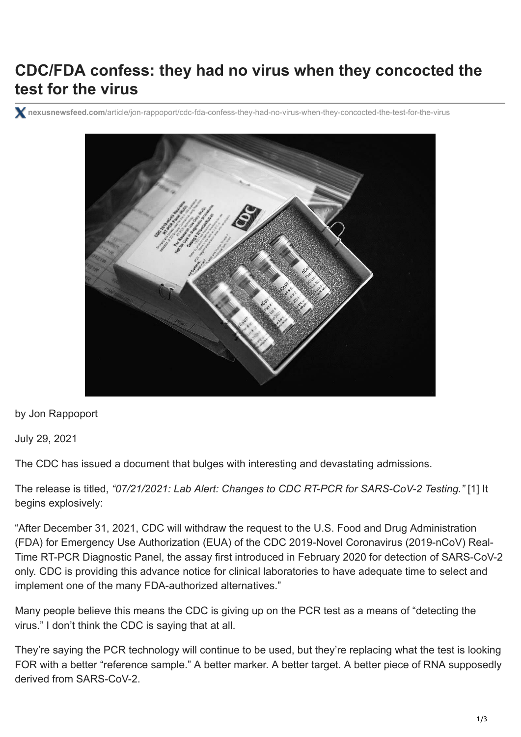## **CDC/FDA confess: they had no virus when they concocted the test for the virus**

**nexusnewsfeed.com**[/article/jon-rappoport/cdc-fda-confess-they-had-no-virus-when-they-concocted-the-test-for-the-virus](https://www.nexusnewsfeed.com/article/jon-rappoport/cdc-fda-confess-they-had-no-virus-when-they-concocted-the-test-for-the-virus/)



by Jon Rappoport

July 29, 2021

The CDC has issued a document that bulges with interesting and devastating admissions.

The release is titled, *["07/21/2021: Lab Alert: Changes to CDC RT-PCR for SARS-CoV-2 Testing."](https://www.cdc.gov/csels/dls/locs/2021/07-21-2021-lab-alert-Changes_CDC_RT-PCR_SARS-CoV-2_Testing_1.html)* [1] It begins explosively:

"After December 31, 2021, CDC will withdraw the request to the U.S. Food and Drug Administration (FDA) for Emergency Use Authorization (EUA) of the CDC 2019-Novel Coronavirus (2019-nCoV) Real-Time RT-PCR Diagnostic Panel, the assay first introduced in February 2020 for detection of SARS-CoV-2 only. CDC is providing this advance notice for clinical laboratories to have adequate time to select and implement one of the many FDA-authorized alternatives."

Many people believe this means the CDC is giving up on the PCR test as a means of "detecting the virus." I don't think the CDC is saying that at all.

They're saying the PCR technology will continue to be used, but they're replacing what the test is looking FOR with a better "reference sample." A better marker. A better target. A better piece of RNA supposedly derived from SARS-CoV-2.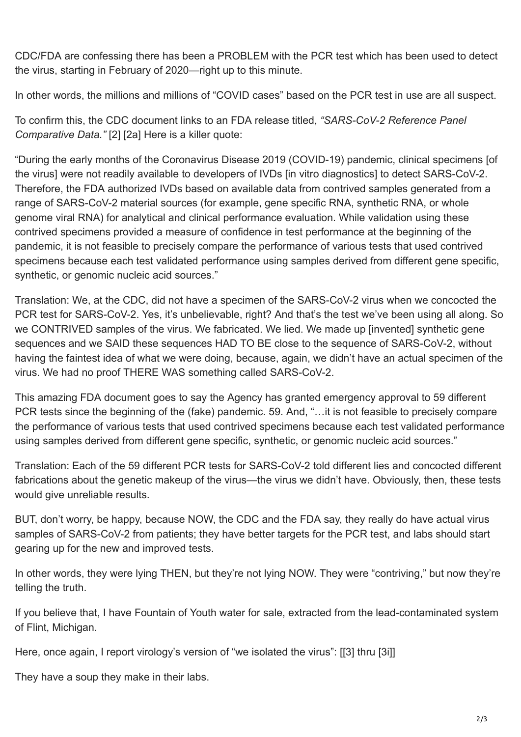CDC/FDA are confessing there has been a PROBLEM with the PCR test which has been used to detect the virus, starting in February of 2020—right up to this minute.

In other words, the millions and millions of "COVID cases" based on the PCR test in use are all suspect.

[To confirm this, the CDC document links to an FDA release titled,](https://www.fda.gov/medical-devices/coronavirus-covid-19-and-medical-devices/sars-cov-2-reference-panel-comparative-data) *"SARS-CoV-2 Reference Panel Comparative Data."* [2] [2a] Here is a killer quote:

"During the early months of the Coronavirus Disease 2019 (COVID-19) pandemic, clinical specimens [of the virus] were not readily available to developers of IVDs [in vitro diagnostics] to detect SARS-CoV-2. Therefore, the FDA authorized IVDs based on available data from contrived samples generated from a range of SARS-CoV-2 material sources (for example, gene specific RNA, synthetic RNA, or whole genome viral RNA) for analytical and clinical performance evaluation. While validation using these contrived specimens provided a measure of confidence in test performance at the beginning of the pandemic, it is not feasible to precisely compare the performance of various tests that used contrived specimens because each test validated performance using samples derived from different gene specific, synthetic, or genomic nucleic acid sources."

Translation: We, at the CDC, did not have a specimen of the SARS-CoV-2 virus when we concocted the PCR test for SARS-CoV-2. Yes, it's unbelievable, right? And that's the test we've been using all along. So we CONTRIVED samples of the virus. We fabricated. We lied. We made up [invented] synthetic gene sequences and we SAID these sequences HAD TO BE close to the sequence of SARS-CoV-2, without having the faintest idea of what we were doing, because, again, we didn't have an actual specimen of the virus. We had no proof THERE WAS something called SARS-CoV-2.

This amazing FDA document goes to say the Agency has granted emergency approval to 59 different PCR tests since the beginning of the (fake) pandemic. 59. And, "…it is not feasible to precisely compare the performance of various tests that used contrived specimens because each test validated performance using samples derived from different gene specific, synthetic, or genomic nucleic acid sources."

Translation: Each of the 59 different PCR tests for SARS-CoV-2 told different lies and concocted different fabrications about the genetic makeup of the virus—the virus we didn't have. Obviously, then, these tests would give unreliable results.

BUT, don't worry, be happy, because NOW, the CDC and the FDA say, they really do have actual virus samples of SARS-CoV-2 from patients; they have better targets for the PCR test, and labs should start gearing up for the new and improved tests.

In other words, they were lying THEN, but they're not lying NOW. They were "contriving," but now they're telling the truth.

If you believe that, I have Fountain of Youth water for sale, extracted from the lead-contaminated system of Flint, Michigan.

Here, once again, I report virology's version of "we isolated the virus": [[3] thru [3i]]

They have a soup they make in their labs.